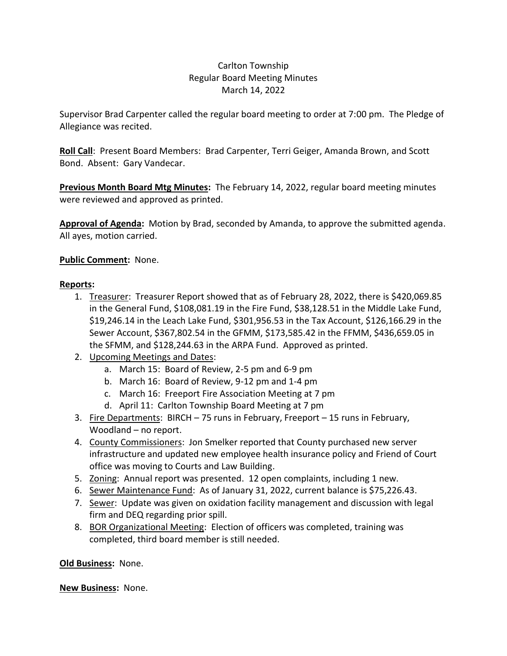## Carlton Township Regular Board Meeting Minutes March 14, 2022

Supervisor Brad Carpenter called the regular board meeting to order at 7:00 pm. The Pledge of Allegiance was recited.

**Roll Call**: Present Board Members: Brad Carpenter, Terri Geiger, Amanda Brown, and Scott Bond. Absent: Gary Vandecar.

**Previous Month Board Mtg Minutes:** The February 14, 2022, regular board meeting minutes were reviewed and approved as printed.

**Approval of Agenda:** Motion by Brad, seconded by Amanda, to approve the submitted agenda. All ayes, motion carried.

## **Public Comment:** None.

## **Reports:**

- 1. Treasurer: Treasurer Report showed that as of February 28, 2022, there is \$420,069.85 in the General Fund, \$108,081.19 in the Fire Fund, \$38,128.51 in the Middle Lake Fund, \$19,246.14 in the Leach Lake Fund, \$301,956.53 in the Tax Account, \$126,166.29 in the Sewer Account, \$367,802.54 in the GFMM, \$173,585.42 in the FFMM, \$436,659.05 in the SFMM, and \$128,244.63 in the ARPA Fund. Approved as printed.
- 2. Upcoming Meetings and Dates:
	- a. March 15: Board of Review, 2-5 pm and 6-9 pm
	- b. March 16: Board of Review, 9-12 pm and 1-4 pm
	- c. March 16: Freeport Fire Association Meeting at 7 pm
	- d. April 11: Carlton Township Board Meeting at 7 pm
- 3. Fire Departments: BIRCH 75 runs in February, Freeport 15 runs in February, Woodland – no report.
- 4. County Commissioners: Jon Smelker reported that County purchased new server infrastructure and updated new employee health insurance policy and Friend of Court office was moving to Courts and Law Building.
- 5. Zoning: Annual report was presented. 12 open complaints, including 1 new.
- 6. Sewer Maintenance Fund: As of January 31, 2022, current balance is \$75,226.43.
- 7. Sewer: Update was given on oxidation facility management and discussion with legal firm and DEQ regarding prior spill.
- 8. BOR Organizational Meeting: Election of officers was completed, training was completed, third board member is still needed.

**Old Business:** None.

**New Business:** None.